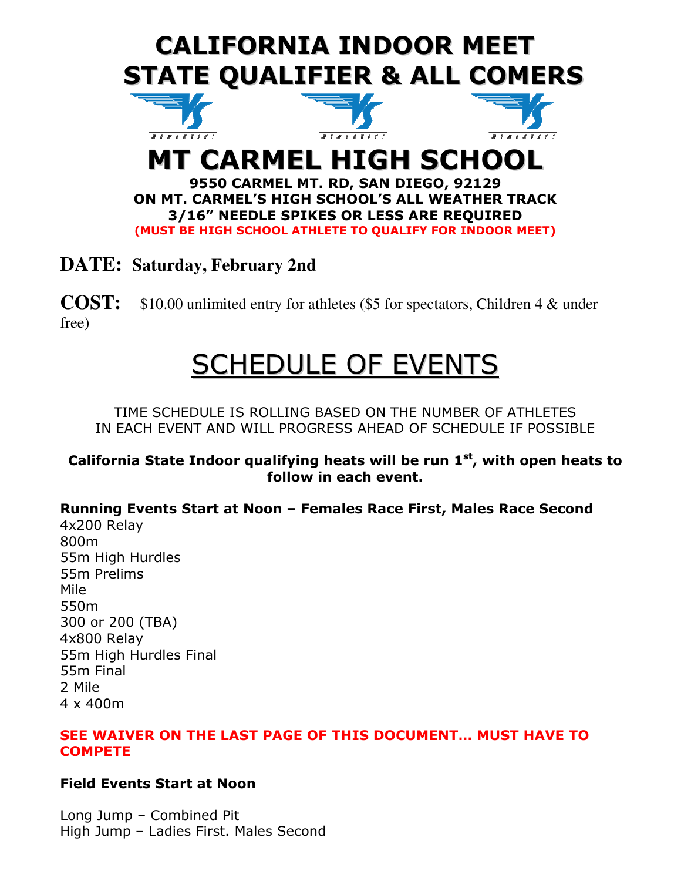

## **DATE: Saturday, February 2nd**

**COST:** \$10.00 unlimited entry for athletes (\$5 for spectators, Children 4 & under free)

# SCHEDULE OF EVENTS

TIME SCHEDULE IS ROLLING BASED ON THE NUMBER OF ATHLETES IN EACH EVENT AND WILL PROGRESS AHEAD OF SCHEDULE IF POSSIBLE

#### California State Indoor qualifying heats will be run  $1<sup>st</sup>$ , with open heats to follow in each event.

Running Events Start at Noon – Females Race First, Males Race Second 4x200 Relay 800m 55m High Hurdles 55m Prelims Mile 550m 300 or 200 (TBA) 4x800 Relay 55m High Hurdles Final 55m Final 2 Mile

4 x 400m

#### SEE WAIVER ON THE LAST PAGE OF THIS DOCUMENT… MUST HAVE TO **COMPETE**

#### Field Events Start at Noon

Long Jump – Combined Pit High Jump – Ladies First. Males Second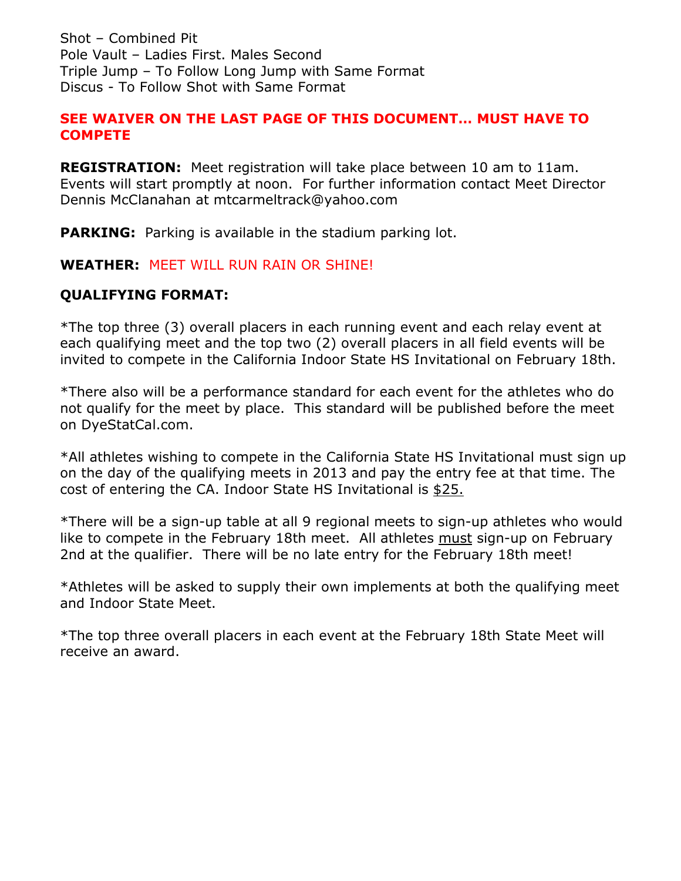Shot – Combined Pit Pole Vault – Ladies First. Males Second Triple Jump – To Follow Long Jump with Same Format Discus - To Follow Shot with Same Format

#### SEE WAIVER ON THE LAST PAGE OF THIS DOCUMENT… MUST HAVE TO **COMPETE**

REGISTRATION: Meet registration will take place between 10 am to 11am. Events will start promptly at noon. For further information contact Meet Director Dennis McClanahan at mtcarmeltrack@yahoo.com

**PARKING:** Parking is available in the stadium parking lot.

#### WEATHER: MEET WILL RUN RAIN OR SHINE!

#### QUALIFYING FORMAT:

\*The top three (3) overall placers in each running event and each relay event at each qualifying meet and the top two (2) overall placers in all field events will be invited to compete in the California Indoor State HS Invitational on February 18th.

\*There also will be a performance standard for each event for the athletes who do not qualify for the meet by place. This standard will be published before the meet on DyeStatCal.com.

\*All athletes wishing to compete in the California State HS Invitational must sign up on the day of the qualifying meets in 2013 and pay the entry fee at that time. The cost of entering the CA. Indoor State HS Invitational is \$25.

\*There will be a sign-up table at all 9 regional meets to sign-up athletes who would like to compete in the February 18th meet. All athletes must sign-up on February 2nd at the qualifier. There will be no late entry for the February 18th meet!

\*Athletes will be asked to supply their own implements at both the qualifying meet and Indoor State Meet.

\*The top three overall placers in each event at the February 18th State Meet will receive an award.